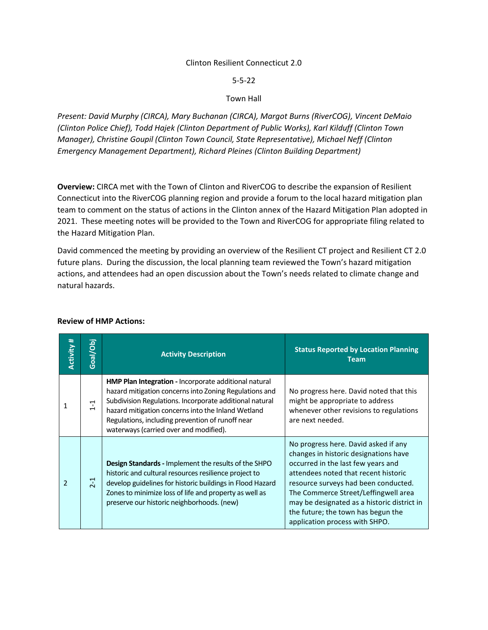#### Clinton Resilient Connecticut 2.0

5-5-22

#### Town Hall

*Present: David Murphy (CIRCA), Mary Buchanan (CIRCA), Margot Burns (RiverCOG), Vincent DeMaio (Clinton Police Chief), Todd Hajek (Clinton Department of Public Works), Karl Kilduff (Clinton Town Manager), Christine Goupil (Clinton Town Council, State Representative), Michael Neff (Clinton Emergency Management Department), Richard Pleines (Clinton Building Department)*

**Overview:** CIRCA met with the Town of Clinton and RiverCOG to describe the expansion of Resilient Connecticut into the RiverCOG planning region and provide a forum to the local hazard mitigation plan team to comment on the status of actions in the Clinton annex of the Hazard Mitigation Plan adopted in 2021. These meeting notes will be provided to the Town and RiverCOG for appropriate filing related to the Hazard Mitigation Plan.

David commenced the meeting by providing an overview of the Resilient CT project and Resilient CT 2.0 future plans. During the discussion, the local planning team reviewed the Town's hazard mitigation actions, and attendees had an open discussion about the Town's needs related to climate change and natural hazards.

| <b>Activity #</b>        | Goal/Obj          | <b>Activity Description</b>                                                                                                                                                                                                                                                                                                    | <b>Status Reported by Location Planning</b><br><b>Team</b>                                                                                                                                                                                                                                                                                                         |
|--------------------------|-------------------|--------------------------------------------------------------------------------------------------------------------------------------------------------------------------------------------------------------------------------------------------------------------------------------------------------------------------------|--------------------------------------------------------------------------------------------------------------------------------------------------------------------------------------------------------------------------------------------------------------------------------------------------------------------------------------------------------------------|
| 1                        | $\overline{1}$ -1 | HMP Plan Integration - Incorporate additional natural<br>hazard mitigation concerns into Zoning Regulations and<br>Subdivision Regulations. Incorporate additional natural<br>hazard mitigation concerns into the Inland Wetland<br>Regulations, including prevention of runoff near<br>waterways (carried over and modified). | No progress here. David noted that this<br>might be appropriate to address<br>whenever other revisions to regulations<br>are next needed.                                                                                                                                                                                                                          |
| $\overline{\phantom{a}}$ | $2-1$             | <b>Design Standards - Implement the results of the SHPO</b><br>historic and cultural resources resilience project to<br>develop guidelines for historic buildings in Flood Hazard<br>Zones to minimize loss of life and property as well as<br>preserve our historic neighborhoods. (new)                                      | No progress here. David asked if any<br>changes in historic designations have<br>occurred in the last few years and<br>attendees noted that recent historic<br>resource surveys had been conducted.<br>The Commerce Street/Leffingwell area<br>may be designated as a historic district in<br>the future; the town has begun the<br>application process with SHPO. |

## **Review of HMP Actions:**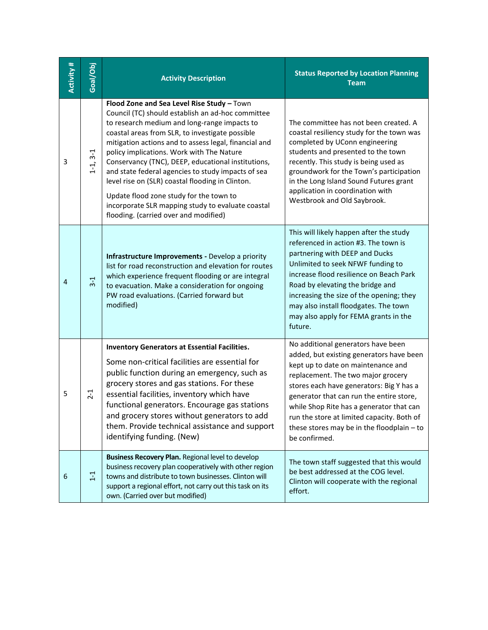| <b>Activity#</b> | Goal/Obj   | <b>Activity Description</b>                                                                                                                                                                                                                                                                                                                                                                                                                                                                                                                                                                                       | <b>Status Reported by Location Planning</b><br><b>Team</b>                                                                                                                                                                                                                                                                                                                                                  |
|------------------|------------|-------------------------------------------------------------------------------------------------------------------------------------------------------------------------------------------------------------------------------------------------------------------------------------------------------------------------------------------------------------------------------------------------------------------------------------------------------------------------------------------------------------------------------------------------------------------------------------------------------------------|-------------------------------------------------------------------------------------------------------------------------------------------------------------------------------------------------------------------------------------------------------------------------------------------------------------------------------------------------------------------------------------------------------------|
| 3                | $1-1, 3-1$ | Flood Zone and Sea Level Rise Study - Town<br>Council (TC) should establish an ad-hoc committee<br>to research medium and long-range impacts to<br>coastal areas from SLR, to investigate possible<br>mitigation actions and to assess legal, financial and<br>policy implications. Work with The Nature<br>Conservancy (TNC), DEEP, educational institutions,<br>and state federal agencies to study impacts of sea<br>level rise on (SLR) coastal flooding in Clinton.<br>Update flood zone study for the town to<br>incorporate SLR mapping study to evaluate coastal<br>flooding. (carried over and modified) | The committee has not been created. A<br>coastal resiliency study for the town was<br>completed by UConn engineering<br>students and presented to the town<br>recently. This study is being used as<br>groundwork for the Town's participation<br>in the Long Island Sound Futures grant<br>application in coordination with<br>Westbrook and Old Saybrook.                                                 |
| $\overline{4}$   | $3-1$      | Infrastructure Improvements - Develop a priority<br>list for road reconstruction and elevation for routes<br>which experience frequent flooding or are integral<br>to evacuation. Make a consideration for ongoing<br>PW road evaluations. (Carried forward but<br>modified)                                                                                                                                                                                                                                                                                                                                      | This will likely happen after the study<br>referenced in action #3. The town is<br>partnering with DEEP and Ducks<br>Unlimited to seek NFWF funding to<br>increase flood resilience on Beach Park<br>Road by elevating the bridge and<br>increasing the size of the opening; they<br>may also install floodgates. The town<br>may also apply for FEMA grants in the<br>future.                              |
| 5                | $2 - 1$    | <b>Inventory Generators at Essential Facilities.</b><br>Some non-critical facilities are essential for<br>public function during an emergency, such as<br>grocery stores and gas stations. For these<br>essential facilities, inventory which have<br>functional generators. Encourage gas stations<br>and grocery stores without generators to add<br>them. Provide technical assistance and support<br>identifying funding. (New)                                                                                                                                                                               | No additional generators have been<br>added, but existing generators have been<br>kept up to date on maintenance and<br>replacement. The two major grocery<br>stores each have generators: Big Y has a<br>generator that can run the entire store,<br>while Shop Rite has a generator that can<br>run the store at limited capacity. Both of<br>these stores may be in the floodplain - to<br>be confirmed. |
| 6                | $1 - 1$    | Business Recovery Plan. Regional level to develop<br>business recovery plan cooperatively with other region<br>towns and distribute to town businesses. Clinton will<br>support a regional effort, not carry out this task on its<br>own. (Carried over but modified)                                                                                                                                                                                                                                                                                                                                             | The town staff suggested that this would<br>be best addressed at the COG level.<br>Clinton will cooperate with the regional<br>effort.                                                                                                                                                                                                                                                                      |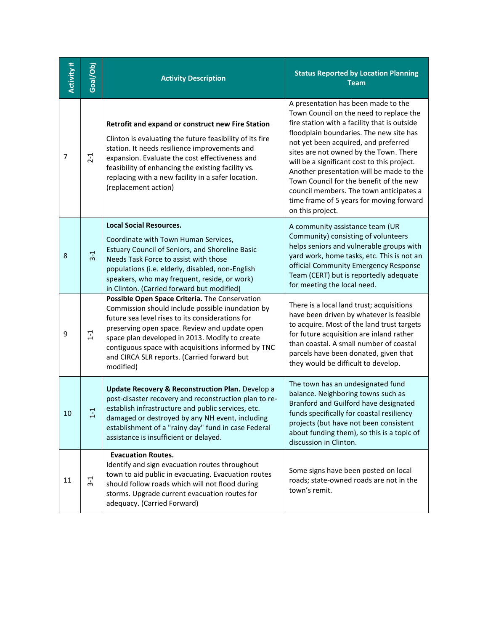| Activity # | Goal/Obj | <b>Activity Description</b>                                                                                                                                                                                                                                                                                                                                                 | <b>Status Reported by Location Planning</b><br><b>Team</b>                                                                                                                                                                                                                                                                                                                                                                                                                                                   |
|------------|----------|-----------------------------------------------------------------------------------------------------------------------------------------------------------------------------------------------------------------------------------------------------------------------------------------------------------------------------------------------------------------------------|--------------------------------------------------------------------------------------------------------------------------------------------------------------------------------------------------------------------------------------------------------------------------------------------------------------------------------------------------------------------------------------------------------------------------------------------------------------------------------------------------------------|
| 7          | $2 - 1$  | Retrofit and expand or construct new Fire Station<br>Clinton is evaluating the future feasibility of its fire<br>station. It needs resilience improvements and<br>expansion. Evaluate the cost effectiveness and<br>feasibility of enhancing the existing facility vs.<br>replacing with a new facility in a safer location.<br>(replacement action)                        | A presentation has been made to the<br>Town Council on the need to replace the<br>fire station with a facility that is outside<br>floodplain boundaries. The new site has<br>not yet been acquired, and preferred<br>sites are not owned by the Town. There<br>will be a significant cost to this project.<br>Another presentation will be made to the<br>Town Council for the benefit of the new<br>council members. The town anticipates a<br>time frame of 5 years for moving forward<br>on this project. |
| 8          | $3-1$    | <b>Local Social Resources.</b><br>Coordinate with Town Human Services,<br><b>Estuary Council of Seniors, and Shoreline Basic</b><br>Needs Task Force to assist with those<br>populations (i.e. elderly, disabled, non-English<br>speakers, who may frequent, reside, or work)<br>in Clinton. (Carried forward but modified)                                                 | A community assistance team (UR<br>Community) consisting of volunteers<br>helps seniors and vulnerable groups with<br>yard work, home tasks, etc. This is not an<br>official Community Emergency Response<br>Team (CERT) but is reportedly adequate<br>for meeting the local need.                                                                                                                                                                                                                           |
| 9          | $1 - 1$  | Possible Open Space Criteria. The Conservation<br>Commission should include possible inundation by<br>future sea level rises to its considerations for<br>preserving open space. Review and update open<br>space plan developed in 2013. Modify to create<br>contiguous space with acquisitions informed by TNC<br>and CIRCA SLR reports. (Carried forward but<br>modified) | There is a local land trust; acquisitions<br>have been driven by whatever is feasible<br>to acquire. Most of the land trust targets<br>for future acquisition are inland rather<br>than coastal. A small number of coastal<br>parcels have been donated, given that<br>they would be difficult to develop.                                                                                                                                                                                                   |
| 10         | 루        | <b>Update Recovery &amp; Reconstruction Plan.</b> Develop a<br>post-disaster recovery and reconstruction plan to re-<br>establish infrastructure and public services, etc.<br>damaged or destroyed by any NH event, including<br>establishment of a "rainy day" fund in case Federal<br>assistance is insufficient or delayed.                                              | The town has an undesignated fund<br>balance. Neighboring towns such as<br>Branford and Guilford have designated<br>funds specifically for coastal resiliency<br>projects (but have not been consistent<br>about funding them), so this is a topic of<br>discussion in Clinton.                                                                                                                                                                                                                              |
| 11         | $3-1$    | <b>Evacuation Routes.</b><br>Identify and sign evacuation routes throughout<br>town to aid public in evacuating. Evacuation routes<br>should follow roads which will not flood during<br>storms. Upgrade current evacuation routes for<br>adequacy. (Carried Forward)                                                                                                       | Some signs have been posted on local<br>roads; state-owned roads are not in the<br>town's remit.                                                                                                                                                                                                                                                                                                                                                                                                             |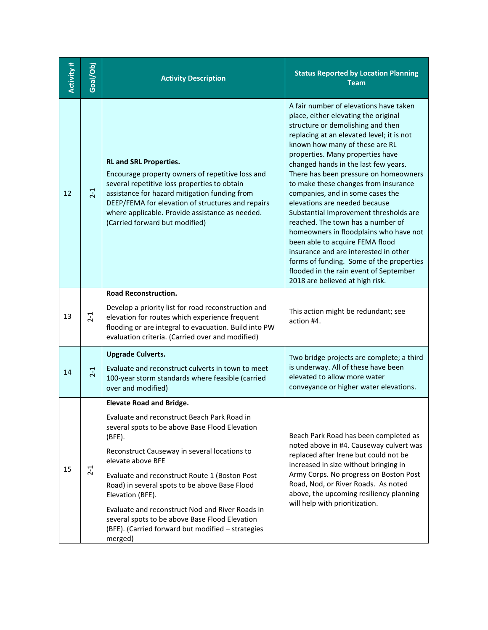| Activity # | Goal/Obj | <b>Activity Description</b>                                                                                                                                                                                                                                                                                                                                                                                                                                             | <b>Status Reported by Location Planning</b><br><b>Team</b>                                                                                                                                                                                                                                                                                                                                                                                                                                                                                                                                                                                                                                                                                                         |
|------------|----------|-------------------------------------------------------------------------------------------------------------------------------------------------------------------------------------------------------------------------------------------------------------------------------------------------------------------------------------------------------------------------------------------------------------------------------------------------------------------------|--------------------------------------------------------------------------------------------------------------------------------------------------------------------------------------------------------------------------------------------------------------------------------------------------------------------------------------------------------------------------------------------------------------------------------------------------------------------------------------------------------------------------------------------------------------------------------------------------------------------------------------------------------------------------------------------------------------------------------------------------------------------|
| 12         | $2 - 1$  | <b>RL and SRL Properties.</b><br>Encourage property owners of repetitive loss and<br>several repetitive loss properties to obtain<br>assistance for hazard mitigation funding from<br>DEEP/FEMA for elevation of structures and repairs<br>where applicable. Provide assistance as needed.<br>(Carried forward but modified)                                                                                                                                            | A fair number of elevations have taken<br>place, either elevating the original<br>structure or demolishing and then<br>replacing at an elevated level; it is not<br>known how many of these are RL<br>properties. Many properties have<br>changed hands in the last few years.<br>There has been pressure on homeowners<br>to make these changes from insurance<br>companies, and in some cases the<br>elevations are needed because<br>Substantial Improvement thresholds are<br>reached. The town has a number of<br>homeowners in floodplains who have not<br>been able to acquire FEMA flood<br>insurance and are interested in other<br>forms of funding. Some of the properties<br>flooded in the rain event of September<br>2018 are believed at high risk. |
| 13         | $2 - 1$  | <b>Road Reconstruction.</b><br>Develop a priority list for road reconstruction and<br>elevation for routes which experience frequent<br>flooding or are integral to evacuation. Build into PW<br>evaluation criteria. (Carried over and modified)                                                                                                                                                                                                                       | This action might be redundant; see<br>action #4.                                                                                                                                                                                                                                                                                                                                                                                                                                                                                                                                                                                                                                                                                                                  |
| 14         | $2-1$    | <b>Upgrade Culverts.</b><br>Evaluate and reconstruct culverts in town to meet<br>100-year storm standards where feasible (carried<br>over and modified)                                                                                                                                                                                                                                                                                                                 | Two bridge projects are complete; a third<br>is underway. All of these have been<br>elevated to allow more water<br>conveyance or higher water elevations.                                                                                                                                                                                                                                                                                                                                                                                                                                                                                                                                                                                                         |
|            |          | <b>Elevate Road and Bridge.</b>                                                                                                                                                                                                                                                                                                                                                                                                                                         |                                                                                                                                                                                                                                                                                                                                                                                                                                                                                                                                                                                                                                                                                                                                                                    |
| 15         | $2 - 1$  | Evaluate and reconstruct Beach Park Road in<br>several spots to be above Base Flood Elevation<br>(BFE).<br>Reconstruct Causeway in several locations to<br>elevate above BFE<br>Evaluate and reconstruct Route 1 (Boston Post<br>Road) in several spots to be above Base Flood<br>Elevation (BFE).<br>Evaluate and reconstruct Nod and River Roads in<br>several spots to be above Base Flood Elevation<br>(BFE). (Carried forward but modified - strategies<br>merged) | Beach Park Road has been completed as<br>noted above in #4. Causeway culvert was<br>replaced after Irene but could not be<br>increased in size without bringing in<br>Army Corps. No progress on Boston Post<br>Road, Nod, or River Roads. As noted<br>above, the upcoming resiliency planning<br>will help with prioritization.                                                                                                                                                                                                                                                                                                                                                                                                                                   |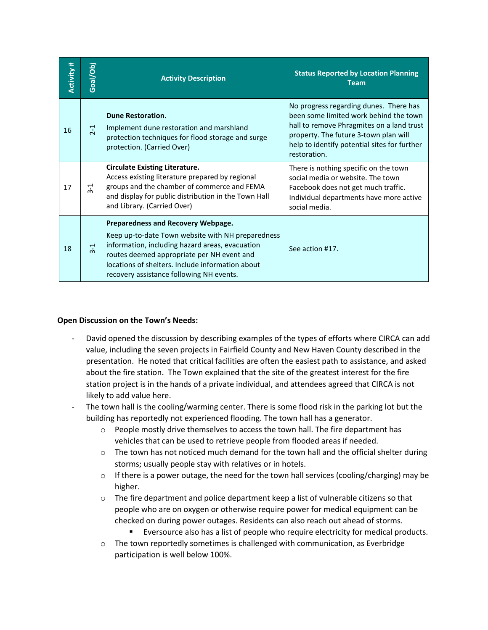| <b>Activity #</b> | Goal/Obj | <b>Activity Description</b>                                                                                                                                                                                                                                                              | <b>Status Reported by Location Planning</b><br><b>Team</b>                                                                                                                                                                             |
|-------------------|----------|------------------------------------------------------------------------------------------------------------------------------------------------------------------------------------------------------------------------------------------------------------------------------------------|----------------------------------------------------------------------------------------------------------------------------------------------------------------------------------------------------------------------------------------|
| 16                | $2-1$    | <b>Dune Restoration.</b><br>Implement dune restoration and marshland<br>protection techniques for flood storage and surge<br>protection. (Carried Over)                                                                                                                                  | No progress regarding dunes. There has<br>been some limited work behind the town<br>hall to remove Phragmites on a land trust<br>property. The future 3-town plan will<br>help to identify potential sites for further<br>restoration. |
| 17                | $3-1$    | <b>Circulate Existing Literature.</b><br>Access existing literature prepared by regional<br>groups and the chamber of commerce and FEMA<br>and display for public distribution in the Town Hall<br>and Library. (Carried Over)                                                           | There is nothing specific on the town<br>social media or website. The town<br>Facebook does not get much traffic.<br>Individual departments have more active<br>social media.                                                          |
| 18                | $3-1$    | Preparedness and Recovery Webpage.<br>Keep up-to-date Town website with NH preparedness<br>information, including hazard areas, evacuation<br>routes deemed appropriate per NH event and<br>locations of shelters. Include information about<br>recovery assistance following NH events. | See action #17.                                                                                                                                                                                                                        |

## **Open Discussion on the Town's Needs:**

- David opened the discussion by describing examples of the types of efforts where CIRCA can add value, including the seven projects in Fairfield County and New Haven County described in the presentation. He noted that critical facilities are often the easiest path to assistance, and asked about the fire station. The Town explained that the site of the greatest interest for the fire station project is in the hands of a private individual, and attendees agreed that CIRCA is not likely to add value here.
- The town hall is the cooling/warming center. There is some flood risk in the parking lot but the building has reportedly not experienced flooding. The town hall has a generator.
	- $\circ$  People mostly drive themselves to access the town hall. The fire department has vehicles that can be used to retrieve people from flooded areas if needed.
	- $\circ$  The town has not noticed much demand for the town hall and the official shelter during storms; usually people stay with relatives or in hotels.
	- $\circ$  If there is a power outage, the need for the town hall services (cooling/charging) may be higher.
	- $\circ$  The fire department and police department keep a list of vulnerable citizens so that people who are on oxygen or otherwise require power for medical equipment can be checked on during power outages. Residents can also reach out ahead of storms.
		- Eversource also has a list of people who require electricity for medical products.
	- $\circ$  The town reportedly sometimes is challenged with communication, as Everbridge participation is well below 100%.